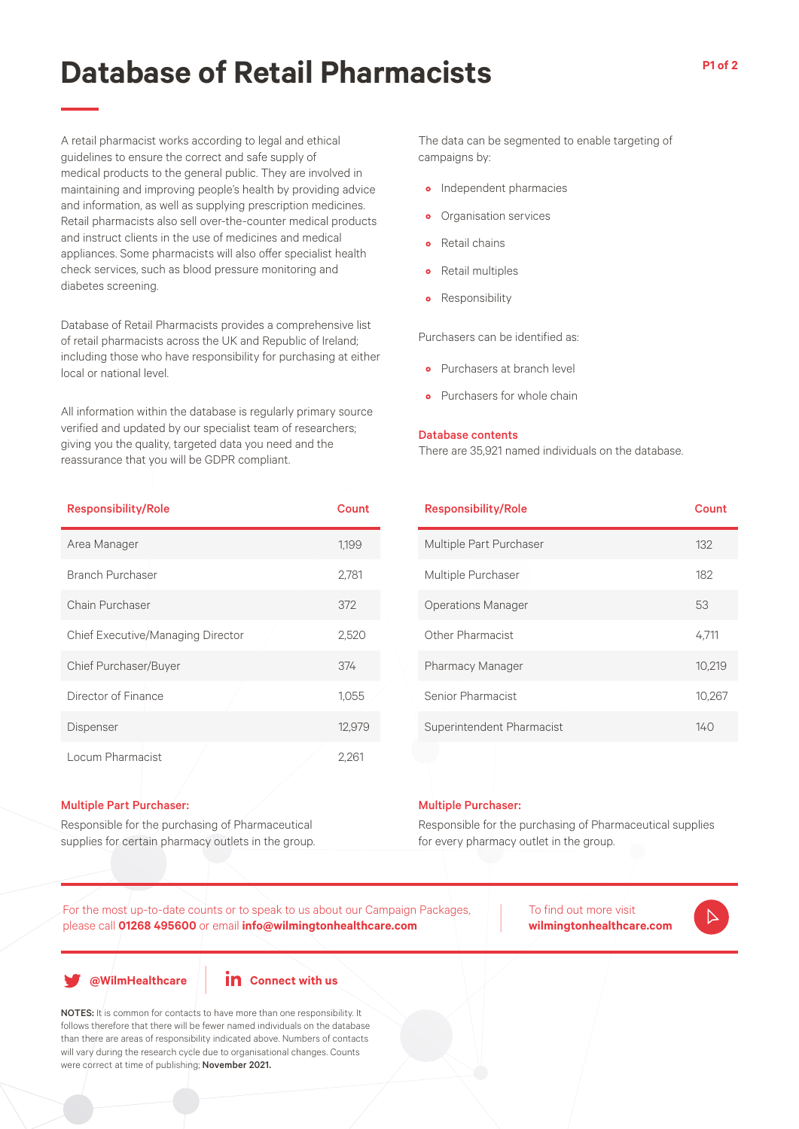# **Database of Retail Pharmacists**

A retail pharmacist works according to legal and ethical guidelines to ensure the correct and safe supply of medical products to the general public. They are involved in maintaining and improving people's health by providing advice and information, as well as supplying prescription medicines. Retail pharmacists also sell over-the-counter medical products and instruct clients in the use of medicines and medical appliances. Some pharmacists will also offer specialist health check services, such as blood pressure monitoring and diabetes screening.

Database of Retail Pharmacists provides a comprehensive list of retail pharmacists across the UK and Republic of Ireland; including those who have responsibility for purchasing at either local or national level.

All information within the database is regularly primary source verified and updated by our specialist team of researchers; giving you the quality, targeted data you need and the reassurance that you will be GDPR compliant.

| <b>Responsibility/Role</b>        | Count  |
|-----------------------------------|--------|
| Area Manager                      | 1,199  |
| Branch Purchaser                  | 2,781  |
| Chain Purchaser                   | 372    |
| Chief Executive/Managing Director | 2,520  |
| Chief Purchaser/Buyer             | 374    |
| Director of Finance               | 1,055  |
| Dispenser                         | 12,979 |
| Locum Pharmacist                  | 2,261  |

#### Multiple Part Purchaser:

Responsible for the purchasing of Pharmaceutical supplies for certain pharmacy outlets in the group. The data can be segmented to enable targeting of campaigns by:

- Independent pharmacies
- Organisation services
- Retail chains
- Retail multiples
- Responsibility

Purchasers can be identified as:

- Purchasers at branch level
- **•** Purchasers for whole chain

### Database contents

There are 35,921 named individuals on the database.

| <b>Responsibility/Role</b> | Count  |
|----------------------------|--------|
| Multiple Part Purchaser    | 132    |
| Multiple Purchaser         | 182    |
| <b>Operations Manager</b>  | 53     |
| Other Pharmacist           | 4.711  |
| <b>Pharmacy Manager</b>    | 10,219 |
| Senior Pharmacist          | 10,267 |
| Superintendent Pharmacist  | 140    |

#### Multiple Purchaser:

Responsible for the purchasing of Pharmaceutical supplies for every pharmacy outlet in the group.

For the most up-to-date counts or to speak to us about our Campaign Packages, please call **01268 495600** or email **info@wilmingtonhealthcare.com**

To find out more visit **wilmingtonhealthcare.com**

**@WilmHealthcare**



NOTES: It is common for contacts to have more than one responsibility. It follows therefore that there will be fewer named individuals on the database than there are areas of responsibility indicated above. Numbers of contacts will vary during the research cycle due to organisational changes. Counts were correct at time of publishing; November 2021.